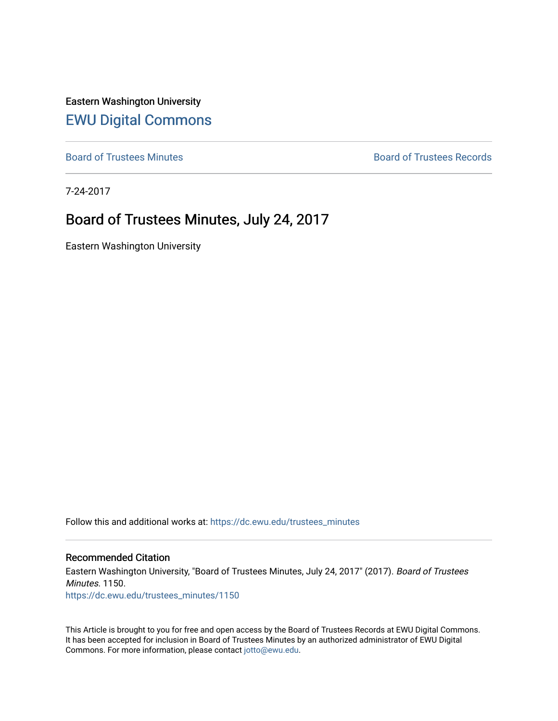Eastern Washington University [EWU Digital Commons](https://dc.ewu.edu/)

[Board of Trustees Minutes](https://dc.ewu.edu/trustees_minutes) **Board of Trustees Records Board of Trustees Records** 

7-24-2017

# Board of Trustees Minutes, July 24, 2017

Eastern Washington University

Follow this and additional works at: [https://dc.ewu.edu/trustees\\_minutes](https://dc.ewu.edu/trustees_minutes?utm_source=dc.ewu.edu%2Ftrustees_minutes%2F1150&utm_medium=PDF&utm_campaign=PDFCoverPages) 

#### Recommended Citation

Eastern Washington University, "Board of Trustees Minutes, July 24, 2017" (2017). Board of Trustees Minutes. 1150. [https://dc.ewu.edu/trustees\\_minutes/1150](https://dc.ewu.edu/trustees_minutes/1150?utm_source=dc.ewu.edu%2Ftrustees_minutes%2F1150&utm_medium=PDF&utm_campaign=PDFCoverPages) 

This Article is brought to you for free and open access by the Board of Trustees Records at EWU Digital Commons. It has been accepted for inclusion in Board of Trustees Minutes by an authorized administrator of EWU Digital Commons. For more information, please contact [jotto@ewu.edu.](mailto:jotto@ewu.edu)